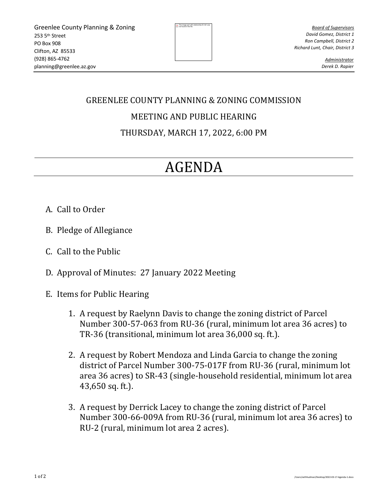The image part with  $\frac{1}{2}$ 

*Board of Supervisors David Gomez, District 1 Ron Campbell, District 2 Richard Lunt, Chair, District 3*

> *Administrator Derek D. Rapier*

## GREENLEE COUNTY PLANNING & ZONING COMMISSION

## MEETING AND PUBLIC HEARING

THURSDAY, MARCH 17, 2022, 6:00 PM

## AGENDA

- A. Call to Order
- B. Pledge of Allegiance
- C. Call to the Public
- D. Approval of Minutes: 27 January 2022 Meeting
- E. Items for Public Hearing
	- 1. A request by Raelynn Davis to change the zoning district of Parcel Number 300-57-063 from RU-36 (rural, minimum lot area 36 acres) to TR-36 (transitional, minimum lot area 36,000 sq. ft.).
	- 2. A request by Robert Mendoza and Linda Garcia to change the zoning district of Parcel Number 300-75-017F from RU-36 (rural, minimum lot area 36 acres) to SR-43 (single-household residential, minimum lot area 43,650 sq. ft.).
	- 3. A request by Derrick Lacey to change the zoning district of Parcel Number 300-66-009A from RU-36 (rural, minimum lot area 36 acres) to RU-2 (rural, minimum lot area 2 acres).